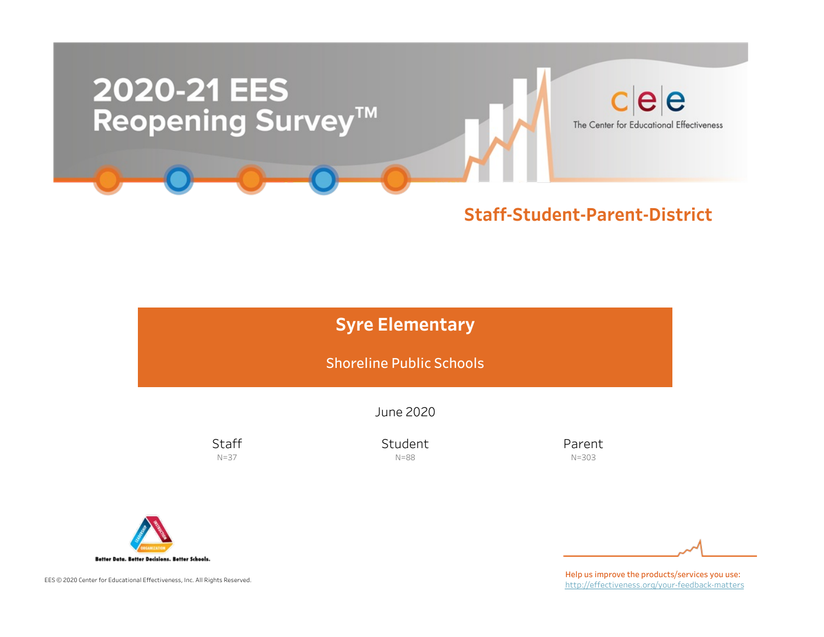

# **Syre Elementary** Shoreline Public Schools

June2020

**Staff** N=37

Student N=88

Parent N=303



EES © 2020 Center for Educational Effectiveness, Inc. All Rights Reserved.

Help us improve the products/services you use: http://effectiveness.org/your-feedback-matters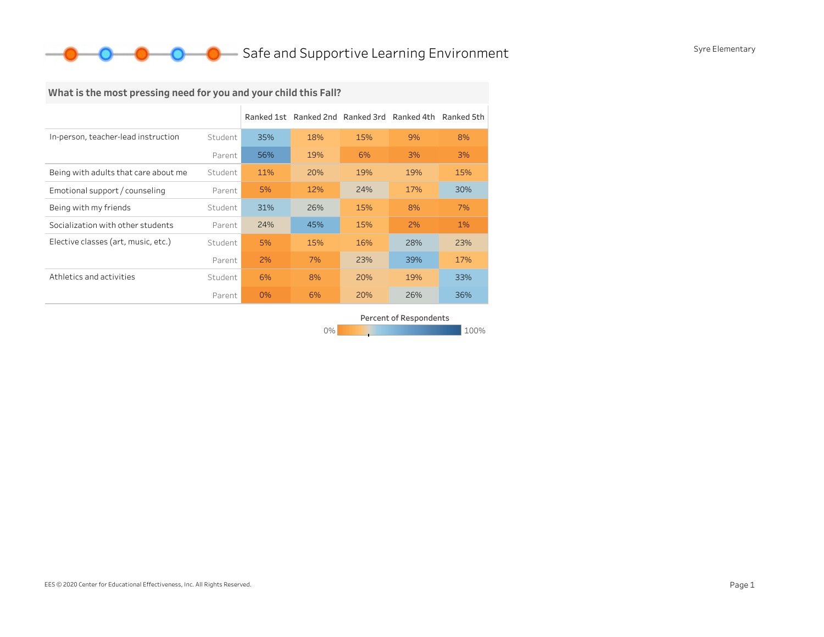### **O** Safe and Supportive Learning Environment Syre Elementary

### What is the most pressing need for you and your child this Fall?

|                                      |         | Ranked 1st |     | Ranked 2nd Ranked 3rd | Ranked 4th | Ranked 5th |
|--------------------------------------|---------|------------|-----|-----------------------|------------|------------|
| In-person, teacher-lead instruction  | Student | 35%        | 18% | 15%                   | 9%         | 8%         |
|                                      | Parent  | 56%        | 19% | 6%                    | 3%         | 3%         |
| Being with adults that care about me | Student | 11%        | 20% | 19%                   | 19%        | 15%        |
| Emotional support / counseling       | Parent  | 5%         | 12% | 24%                   | 17%        | 30%        |
| Being with my friends                | Student | 31%        | 26% | 15%                   | 8%         | 7%         |
| Socialization with other students    | Parent  | 24%        | 45% | 15%                   | 2%         | $1\%$      |
| Elective classes (art, music, etc.)  | Student | 5%         | 15% | 16%                   | 28%        | 23%        |
|                                      | Parent  | 2%         | 7%  | 23%                   | 39%        | 17%        |
| Athletics and activities             | Student | 6%         | 8%  | 20%                   | 19%        | 33%        |
|                                      | Parent  | 0%         | 6%  | 20%                   | 26%        | 36%        |

Percent of Respondents

0% 100% 100% 100% 100%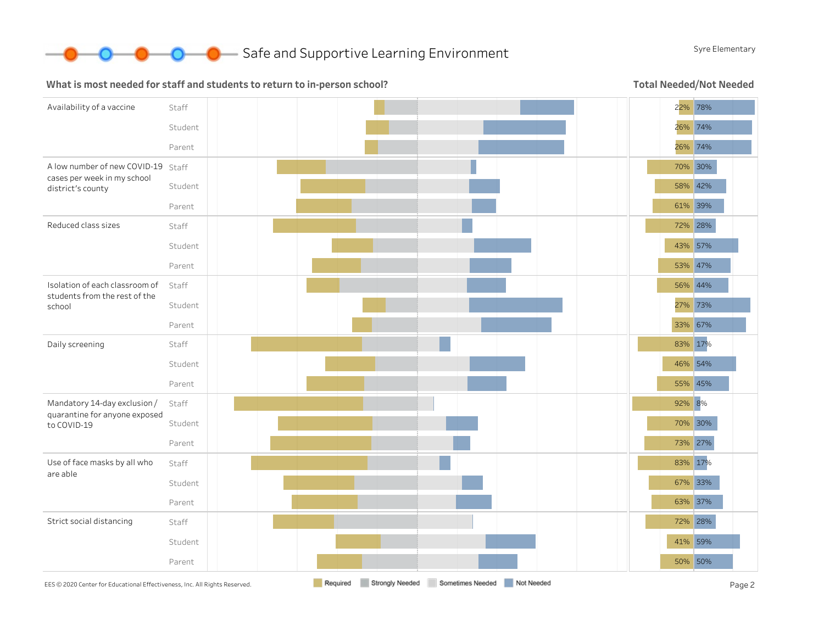

#### What is most needed for staff and students to return to in-person school?

Total Needed/Not Needed

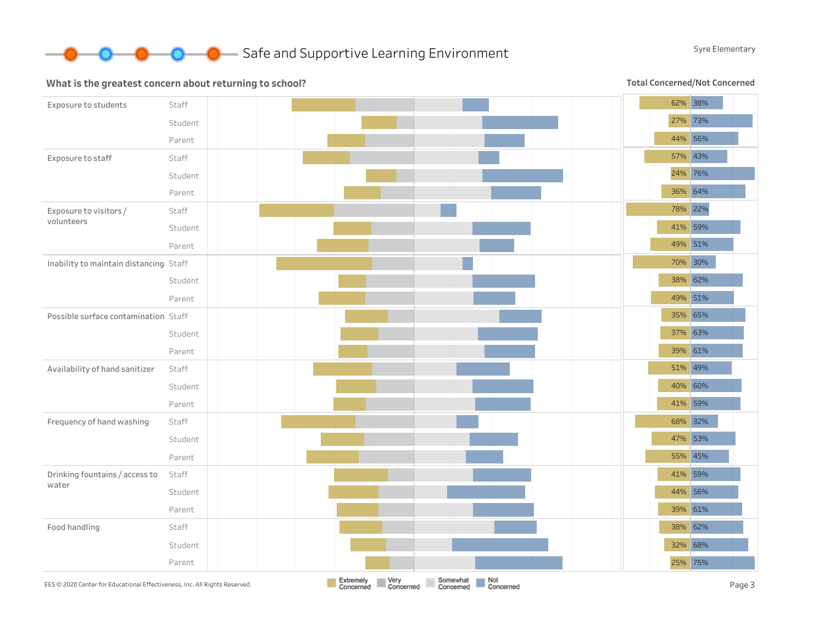

#### What is the greatest concern about returning to school?

**Total Concerned/Not Concerned** 

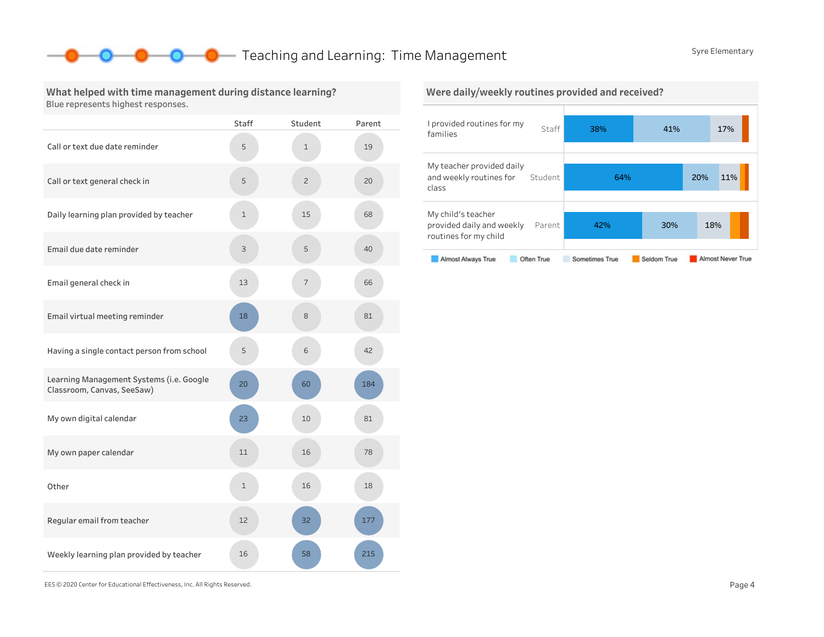### **O** Teaching and Learning: Time Management SyreElementary

#### What helped with time management during distance learning? Blue represents highest responses.

|                                                                        | Staff | Student        | Parent |
|------------------------------------------------------------------------|-------|----------------|--------|
| Call or text due date reminder                                         | 5     | $\mathbf{1}$   | 19     |
| Call or text general check in                                          | 5     | $\overline{c}$ | 20     |
| Daily learning plan provided by teacher                                | 1     | 15             | 68     |
| Email due date reminder                                                | 3     | 5              | 40     |
| Email general check in                                                 | 13    | 7              | 66     |
| Email virtual meeting reminder                                         | 18    | 8              | 81     |
| Having a single contact person from school                             | 5     | 6              | 42     |
| Learning Management Systems (i.e. Google<br>Classroom, Canvas, SeeSaw) | 20    | 60             | 184    |
| My own digital calendar                                                | 23    | 10             | 81     |
| My own paper calendar                                                  | 11    | 16             | 78     |
| Other                                                                  | 1     | 16             | 18     |
| Regular email from teacher                                             | 12    | 32             | 177    |
| Weekly learning plan provided by teacher                               | 16    | 58             | 215    |



EES©2020CenterforEducationalEffectiveness,Inc.AllRightsReserved. Page4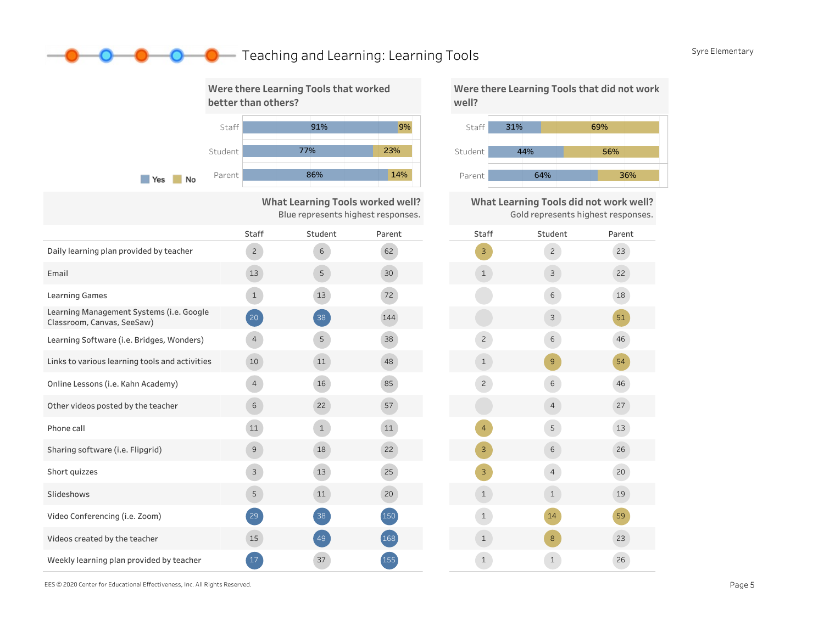### **C** Teaching and Learning: Learning Tools SyreElementary



|                                                                        | <b>Staff</b>   | Student      | Parent |  |
|------------------------------------------------------------------------|----------------|--------------|--------|--|
| Daily learning plan provided by teacher                                | $\overline{2}$ | 6            | 62     |  |
| Email                                                                  | 13             | 5            | 30     |  |
| <b>Learning Games</b>                                                  | $\mathbf{1}$   | 13           | 72     |  |
| Learning Management Systems (i.e. Google<br>Classroom, Canvas, SeeSaw) | 20             | 38           | 144    |  |
| Learning Software (i.e. Bridges, Wonders)                              | 4              | 5            | 38     |  |
| Links to various learning tools and activities                         | 10             | 11           | 48     |  |
| Online Lessons (i.e. Kahn Academy)                                     | $\overline{4}$ | 16           | 85     |  |
| Other videos posted by the teacher                                     | 6              | 22           | 57     |  |
| Phone call                                                             | 11             | $\mathbf{1}$ | 11     |  |
| Sharing software (i.e. Flipgrid)                                       | $\mathcal{G}$  | 18           | 22     |  |
| Short quizzes                                                          | 3              | 13           | 25     |  |
| Slideshows                                                             | 5              | 11           | 20     |  |
| Video Conferencing (i.e. Zoom)                                         | 29             | 38           | 150    |  |
| Videos created by the teacher                                          | 15             | 49           | 168    |  |
| Weekly learning plan provided by teacher                               | 17             | 37           | 155    |  |



What Learning Tools did not work well? Gold represents highest responses.



EES©2020CenterforEducationalEffectiveness,Inc.AllRightsReserved. Page5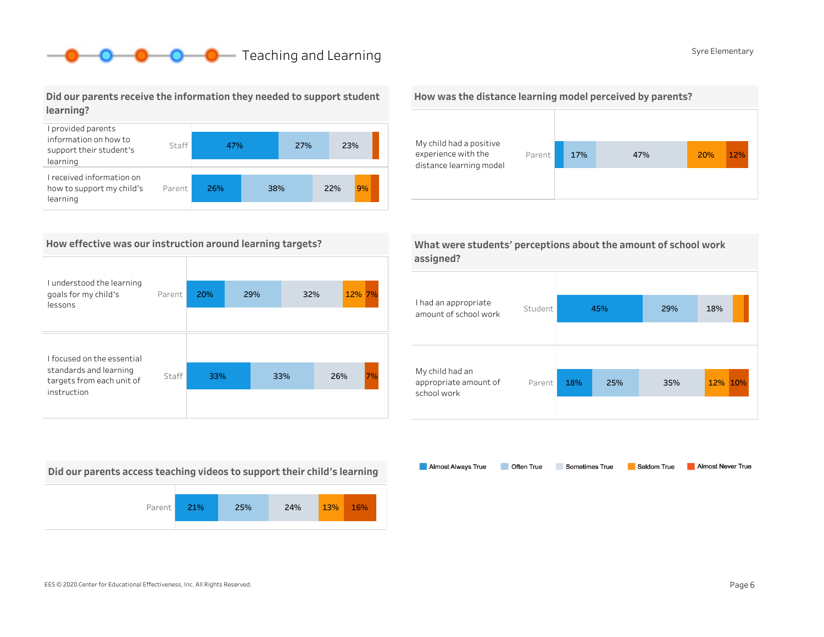### **O** Syre Elementary Syre Elementary

Did our parents receive the information they needed to support student learning?



### How effective was our instruction around learning targets?

| I understood the learning<br>goals for my child's<br>lessons                                     | Parent | 20% | 29% | 32% |     | 12% 7% |
|--------------------------------------------------------------------------------------------------|--------|-----|-----|-----|-----|--------|
| I focused on the essential<br>standards and learning<br>targets from each unit of<br>instruction | Staff  | 33% | 33% |     | 26% | 7%     |

Did our parents access teaching videos to support their child's learning



#### How was the distance learning model perceived by parents?



|           | What were students' perceptions about the amount of school work |
|-----------|-----------------------------------------------------------------|
| assigned? |                                                                 |

| I had an appropriate<br>amount of school work           | Student |     | 45% | 29% | 18%     |
|---------------------------------------------------------|---------|-----|-----|-----|---------|
| My child had an<br>appropriate amount of<br>school work | Parent  | 18% | 25% | 35% | 12% 10% |

Almost Always True Sometimes True Almost Never True Often True Seldom True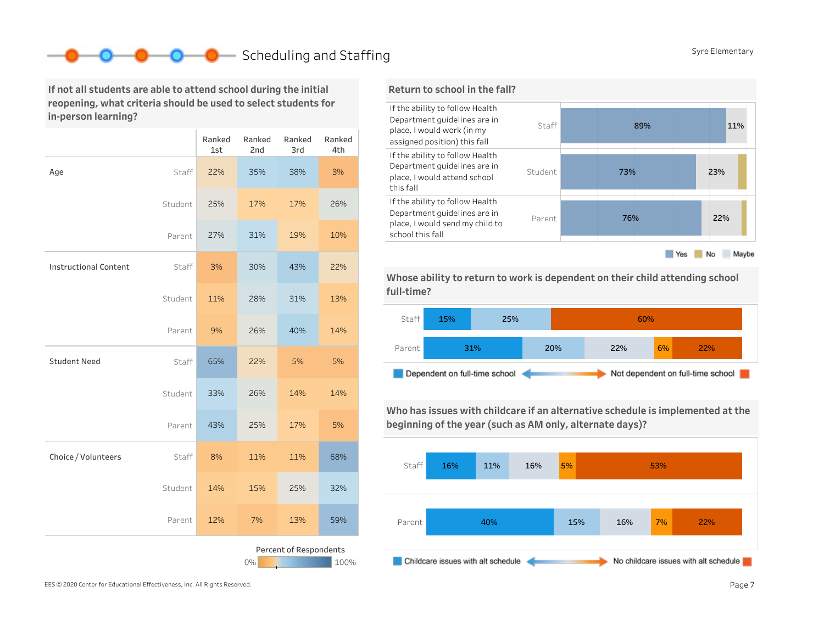### Scheduling and Staffing SyreElementary SyreElementary

If not all students are able to attend school during the initial reopening, what criteria should be used to select students for in-person learning?

|                              |         | Ranked<br>1st | Ranked<br>2nd | Ranked<br>3rd          | Ranked<br>4th |
|------------------------------|---------|---------------|---------------|------------------------|---------------|
| Age                          | Staff   | 22%           | 35%           | 38%                    | 3%            |
|                              | Student | 25%           | 17%           | 17%                    | 26%           |
|                              | Parent  | 27%           | 31%           | 19%                    | 10%           |
| <b>Instructional Content</b> | Staff   | 3%            | 30%           | 43%                    | 22%           |
|                              | Student | 11%           | 28%           | 31%                    | 13%           |
|                              | Parent  | 9%            | 26%           | 40%                    | 14%           |
| <b>Student Need</b>          | Staff   | 65%           | 22%           | 5%                     | 5%            |
|                              | Student | 33%           | 26%           | 14%                    | 14%           |
|                              | Parent  | 43%           | 25%           | 17%                    | 5%            |
| Choice / Volunteers          | Staff   | 8%            | 11%           | 11%                    | 68%           |
|                              | Student | 14%           | 15%           | 25%                    | 32%           |
|                              | Parent  | 12%           | 7%            | 13%                    | 59%           |
|                              |         |               | 0%            | Percent of Respondents | 100%          |



Whose ability to return to work is dependent on their child attending school full-time?



Who has issues with childcare if an alternative schedule is implemented at the beginning of the year (such as AM only, alternate days)?

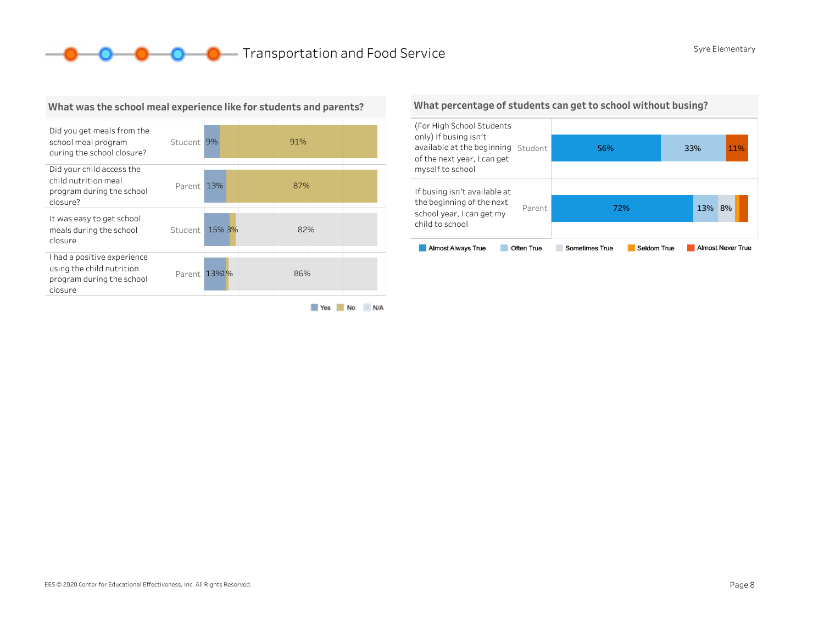**O** O **O** Transportation and Food Service SyreElementary



What was the school meal experience like for students and parents?

#### Yes No N/A

What percentage of students can get to school without busing?

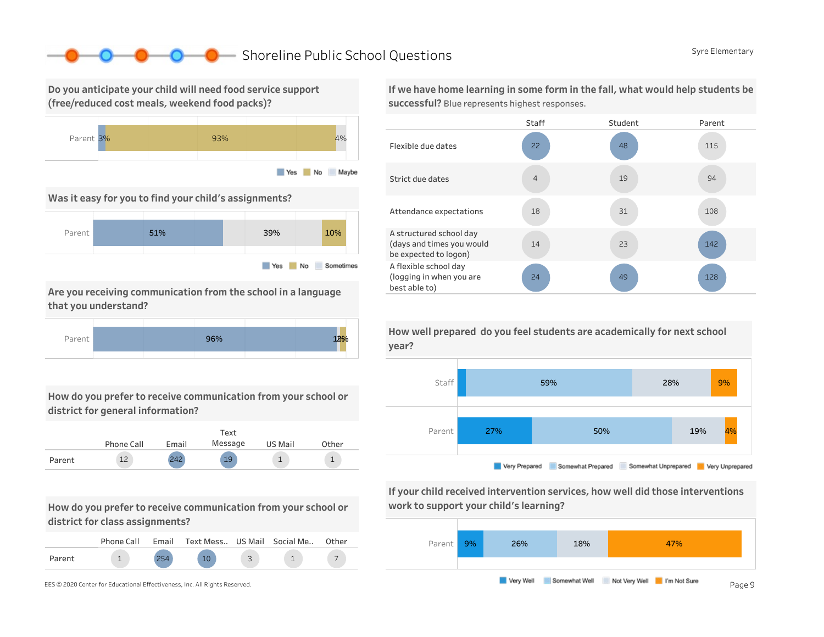### ■ Shoreline Public School Questions SyreElementary SyreElementary

Do you anticipate your child will need food service support (free/reduced cost meals, weekend food packs)?



Was it easy for you to find your child's assignments?



Are you receiving communication from the school in a language that you understand?



How do you prefer to receive communication from your school or district for general information?



How do you prefer to receive communication from your school or district for class assignments?

|        | Phone Call | Email | Text Mess US Mail Social Me |  | Other |
|--------|------------|-------|-----------------------------|--|-------|
| Parent |            |       |                             |  |       |

If we have home learning in some form in the fall, what would help students be successful? Blue represents highest responses.



How well prepared do you feel students are academically for next school



If your child received intervention services, how well did those interventions work to support your child's learning?

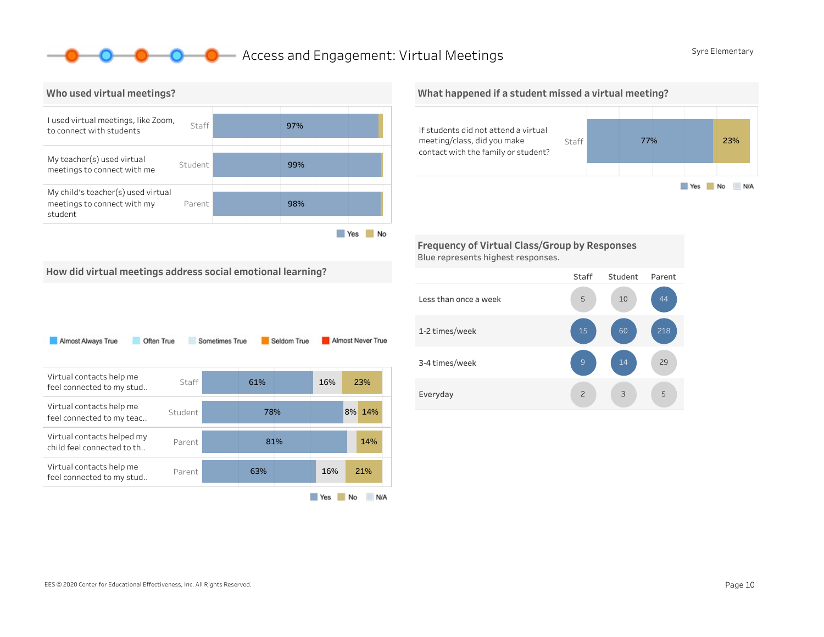### **O** Access and Engagement: Virtual Meetings SyreElementary



#### What happened if a student missed a virtual meeting?



Frequency of Virtual Class/Group by Responses Blue represents highest responses.

How did virtual meetings address social emotional learning?

| Almost Always True                                       | Often True | Sometimes True | Seldom True |     | Almost Never True |
|----------------------------------------------------------|------------|----------------|-------------|-----|-------------------|
| Virtual contacts help me<br>feel connected to my stud    | Staff      | 61%            |             | 16% | 23%               |
| Virtual contacts help me<br>feel connected to my teac    | Student    |                | 78%         |     | 8%<br>14%         |
| Virtual contacts helped my<br>child feel connected to th | Parent     |                | 81%         |     | 14%               |
| Virtual contacts help me<br>feel connected to my stud    | Parent     | 63%            |             | 16% | 21%               |
|                                                          |            |                |             | Yes | No<br>N/A         |

#### Staff Student Parent Lessthanonceaweek 1-2times/week 3-4 times/week Everyday 5 29 218 3 14 10 2 9 5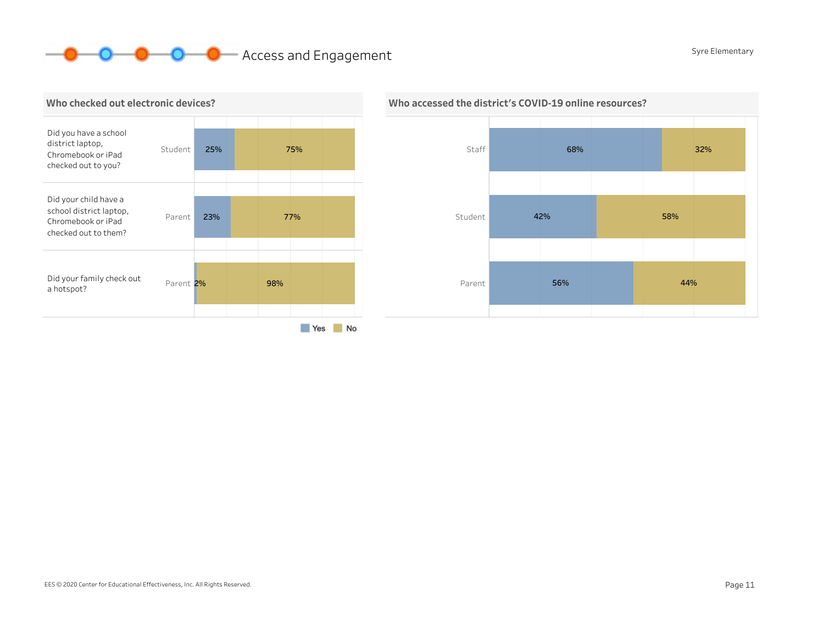## **O** O Access and Engagement SyreElementary





### Who accessed the district's COVID-19 online resources?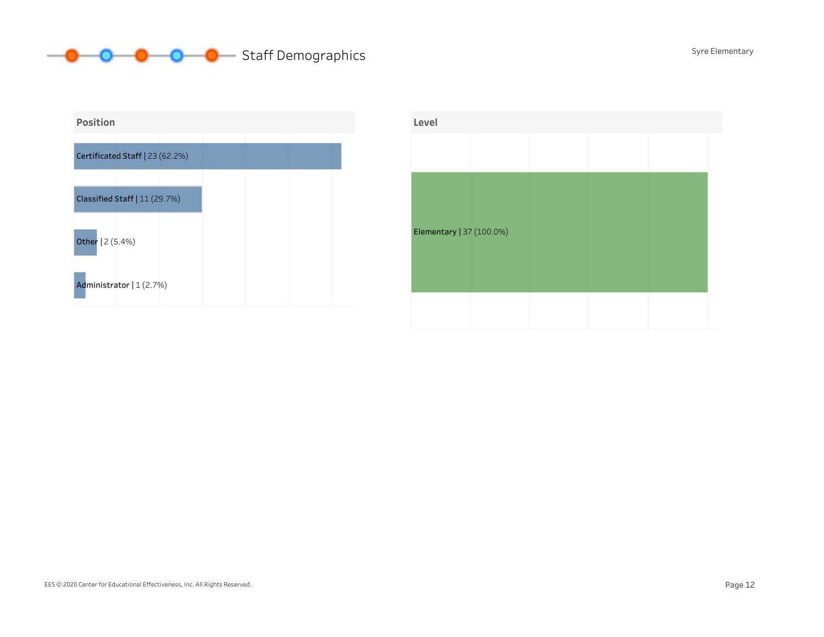### **O** O O Staff Demographics SyreElementary



| Level                    |  |  |  |
|--------------------------|--|--|--|
|                          |  |  |  |
|                          |  |  |  |
|                          |  |  |  |
|                          |  |  |  |
| Elementary   37 (100.0%) |  |  |  |
|                          |  |  |  |
|                          |  |  |  |
|                          |  |  |  |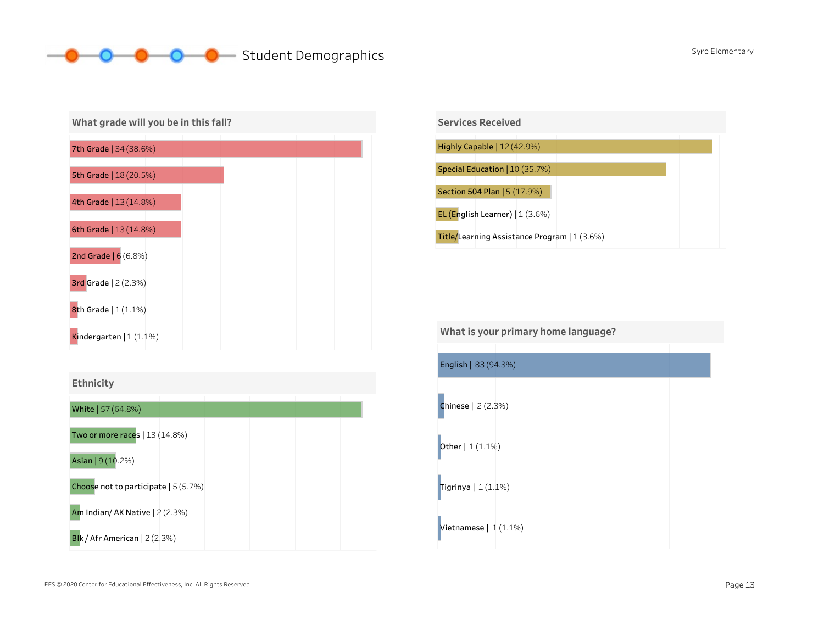### **O** Student Demographics SyreElementary









Vietnamese  $|1(1.1\%)$ English|83(94.3%) Tigrinya  $|1(1.1\%)$ Chinese|2(2.3%) **Other**  $|1(1.1\%)$ What is your primary home language?